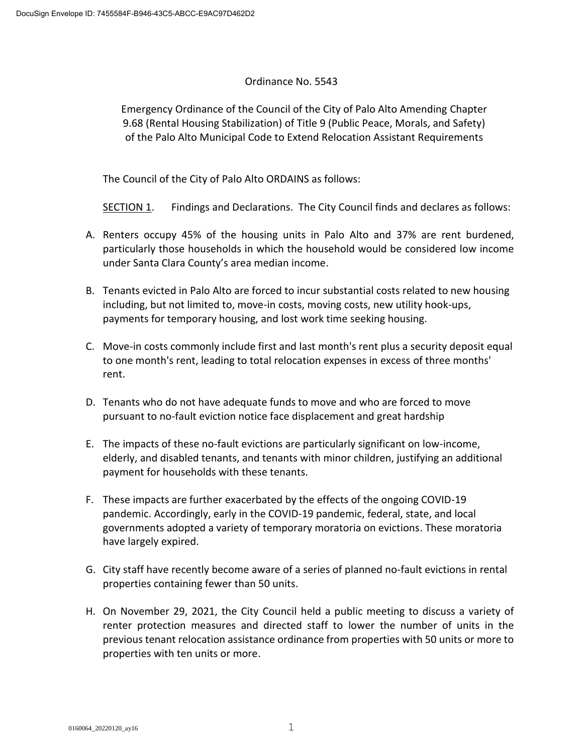# Ordinance No. 5543

Emergency Ordinance of the Council of the City of Palo Alto Amending Chapter 9.68 (Rental Housing Stabilization) of Title 9 (Public Peace, Morals, and Safety) of the Palo Alto Municipal Code to Extend Relocation Assistant Requirements

The Council of the City of Palo Alto ORDAINS as follows:

SECTION 1. Findings and Declarations. The City Council finds and declares as follows:

- A. Renters occupy 45% of the housing units in Palo Alto and 37% are rent burdened, particularly those households in which the household would be considered low income under Santa Clara County's area median income.
- B. Tenants evicted in Palo Alto are forced to incur substantial costs related to new housing including, but not limited to, move-in costs, moving costs, new utility hook-ups, payments for temporary housing, and lost work time seeking housing.
- C. Move-in costs commonly include first and last month's rent plus a security deposit equal to one month's rent, leading to total relocation expenses in excess of three months' rent.
- D. Tenants who do not have adequate funds to move and who are forced to move pursuant to no-fault eviction notice face displacement and great hardship
- E. The impacts of these no-fault evictions are particularly significant on low-income, elderly, and disabled tenants, and tenants with minor children, justifying an additional payment for households with these tenants.
- F. These impacts are further exacerbated by the effects of the ongoing COVID-19 pandemic. Accordingly, early in the COVID-19 pandemic, federal, state, and local governments adopted a variety of temporary moratoria on evictions. These moratoria have largely expired.
- G. City staff have recently become aware of a series of planned no-fault evictions in rental properties containing fewer than 50 units.
- H. On November 29, 2021, the City Council held a public meeting to discuss a variety of renter protection measures and directed staff to lower the number of units in the previous tenant relocation assistance ordinance from properties with 50 units or more to properties with ten units or more.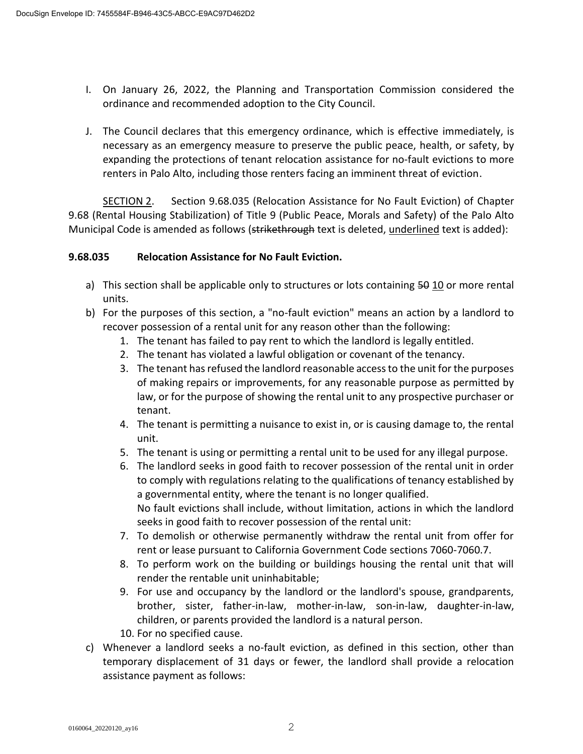- I. On January 26, 2022, the Planning and Transportation Commission considered the ordinance and recommended adoption to the City Council.
- J. The Council declares that this emergency ordinance, which is effective immediately, is necessary as an emergency measure to preserve the public peace, health, or safety, by expanding the protections of tenant relocation assistance for no-fault evictions to more renters in Palo Alto, including those renters facing an imminent threat of eviction.

SECTION 2. Section 9.68.035 (Relocation Assistance for No Fault Eviction) of Chapter 9.68 (Rental Housing Stabilization) of Title 9 (Public Peace, Morals and Safety) of the Palo Alto Municipal Code is amended as follows (strikethrough text is deleted, underlined text is added):

# **9.68.035 Relocation Assistance for No Fault Eviction.**

- a) This section shall be applicable only to structures or lots containing 50 10 or more rental units.
- b) For the purposes of this section, a "no-fault eviction" means an action by a landlord to recover possession of a rental unit for any reason other than the following:
	- 1. The tenant has failed to pay rent to which the landlord is legally entitled.
	- 2. The tenant has violated a lawful obligation or covenant of the tenancy.
	- 3. The tenant has refused the landlord reasonable access to the unit for the purposes of making repairs or improvements, for any reasonable purpose as permitted by law, or for the purpose of showing the rental unit to any prospective purchaser or tenant.
	- 4. The tenant is permitting a nuisance to exist in, or is causing damage to, the rental unit.
	- 5. The tenant is using or permitting a rental unit to be used for any illegal purpose.
	- 6. The landlord seeks in good faith to recover possession of the rental unit in order to comply with regulations relating to the qualifications of tenancy established by a governmental entity, where the tenant is no longer qualified. No fault evictions shall include, without limitation, actions in which the landlord seeks in good faith to recover possession of the rental unit:
	- 7. To demolish or otherwise permanently withdraw the rental unit from offer for rent or lease pursuant to California Government Code sections 7060-7060.7.
	- 8. To perform work on the building or buildings housing the rental unit that will render the rentable unit uninhabitable;
	- 9. For use and occupancy by the landlord or the landlord's spouse, grandparents, brother, sister, father-in-law, mother-in-law, son-in-law, daughter-in-law, children, or parents provided the landlord is a natural person.
	- 10. For no specified cause.
- c) Whenever a landlord seeks a no-fault eviction, as defined in this section, other than temporary displacement of 31 days or fewer, the landlord shall provide a relocation assistance payment as follows: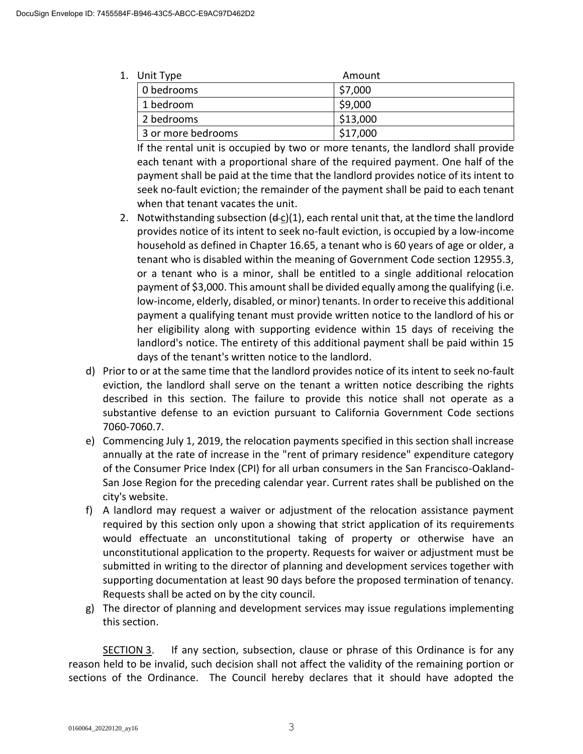| 1. Unit Type       | Amount   |
|--------------------|----------|
| 0 bedrooms         | \$7,000  |
| 1 bedroom          | \$9,000  |
| 2 bedrooms         | \$13,000 |
| 3 or more bedrooms | \$17,000 |

If the rental unit is occupied by two or more tenants, the landlord shall provide each tenant with a proportional share of the required payment. One half of the payment shall be paid at the time that the landlord provides notice of its intent to seek no-fault eviction; the remainder of the payment shall be paid to each tenant when that tenant vacates the unit.

- 2. Notwithstanding subsection  $(d-c)(1)$ , each rental unit that, at the time the landlord provides notice of its intent to seek no-fault eviction, is occupied by a low-income household as defined in Chapter 16.65, a tenant who is 60 years of age or older, a tenant who is disabled within the meaning of Government Code section 12955.3, or a tenant who is a minor, shall be entitled to a single additional relocation payment of \$3,000. This amount shall be divided equally among the qualifying (i.e. low-income, elderly, disabled, or minor) tenants. In order to receive this additional payment a qualifying tenant must provide written notice to the landlord of his or her eligibility along with supporting evidence within 15 days of receiving the landlord's notice. The entirety of this additional payment shall be paid within 15 days of the tenant's written notice to the landlord.
- d) Prior to or at the same time that the landlord provides notice of its intent to seek no-fault eviction, the landlord shall serve on the tenant a written notice describing the rights described in this section. The failure to provide this notice shall not operate as a substantive defense to an eviction pursuant to California Government Code sections 7060-7060.7.
- e) Commencing July 1, 2019, the relocation payments specified in this section shall increase annually at the rate of increase in the "rent of primary residence" expenditure category of the Consumer Price Index (CPI) for all urban consumers in the San Francisco-Oakland-San Jose Region for the preceding calendar year. Current rates shall be published on the city's website.
- f) A landlord may request a waiver or adjustment of the relocation assistance payment required by this section only upon a showing that strict application of its requirements would effectuate an unconstitutional taking of property or otherwise have an unconstitutional application to the property. Requests for waiver or adjustment must be submitted in writing to the director of planning and development services together with supporting documentation at least 90 days before the proposed termination of tenancy. Requests shall be acted on by the city council.
- g) The director of planning and development services may issue regulations implementing this section.

SECTION 3. If any section, subsection, clause or phrase of this Ordinance is for any reason held to be invalid, such decision shall not affect the validity of the remaining portion or sections of the Ordinance. The Council hereby declares that it should have adopted the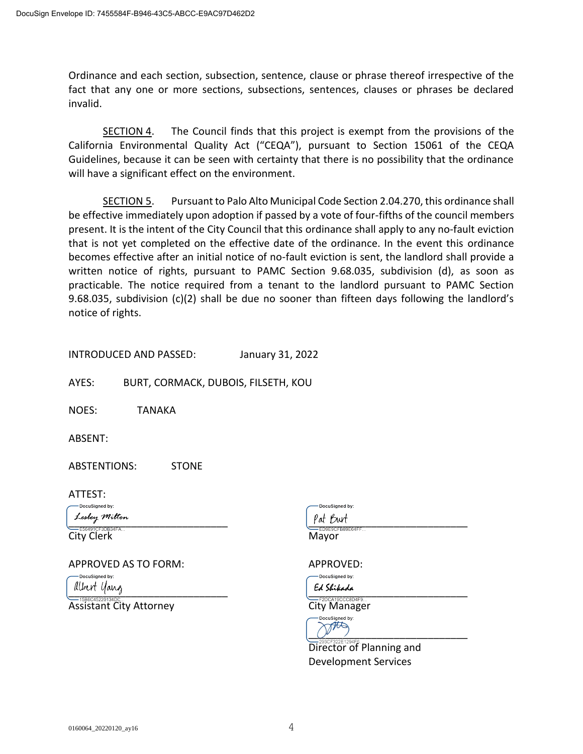Ordinance and each section, subsection, sentence, clause or phrase thereof irrespective of the fact that any one or more sections, subsections, sentences, clauses or phrases be declared invalid.

SECTION 4. The Council finds that this project is exempt from the provisions of the California Environmental Quality Act ("CEQA"), pursuant to Section 15061 of the CEQA Guidelines, because it can be seen with certainty that there is no possibility that the ordinance will have a significant effect on the environment.

SECTION 5. Pursuant to Palo Alto Municipal Code Section 2.04.270, this ordinance shall be effective immediately upon adoption if passed by a vote of four-fifths of the council members present. It is the intent of the City Council that this ordinance shall apply to any no-fault eviction that is not yet completed on the effective date of the ordinance. In the event this ordinance becomes effective after an initial notice of no-fault eviction is sent, the landlord shall provide a written notice of rights, pursuant to PAMC Section 9.68.035, subdivision (d), as soon as practicable. The notice required from a tenant to the landlord pursuant to PAMC Section 9.68.035, subdivision (c)(2) shall be due no sooner than fifteen days following the landlord's notice of rights.

INTRODUCED AND PASSED: January 31, 2022

AYES: BURT, CORMACK, DUBOIS, FILSETH, KOU

NOES: TANAKA

ABSENT:

ABSTENTIONS: STONE

ATTEST:

 $P_{\text{at}}$   $P_{\text{at}}$   $P_{\text{at}}$   $P_{\text{at}}$   $P_{\text{at}}$   $P_{\text{at}}$   $P_{\text{at}}$   $P_{\text{at}}$   $P_{\text{at}}$   $P_{\text{at}}$   $P_{\text{at}}$   $P_{\text{at}}$   $P_{\text{at}}$   $P_{\text{at}}$   $P_{\text{at}}$   $P_{\text{at}}$   $P_{\text{at}}$   $P_{\text{at}}$   $P_{\text{at}}$   $P_{\text{at}}$   $P_{\text{at}}$   $P_{\text{at}}$ 

City Clerk Mayor

APPROVED AS TO FORM: APPROVED:

**uSianed by:** 

Assistant City Attorney **City Manager** 

DocuSigned by:

DocuSigned by:  $L[\text{LDF}]$  and  $\frac{1}{2}$  are  $\frac{1}{2}$  and  $\frac{1}{2}$  are  $\frac{1}{2}$  and  $\frac{1}{2}$  are  $\frac{1}{2}$  and  $\frac{1}{2}$  are  $\frac{1}{2}$  and  $\frac{1}{2}$  are  $\frac{1}{2}$  and  $\frac{1}{2}$  are  $\frac{1}{2}$  and  $\frac{1}{2}$  are  $\frac{1}{2}$  and  $\frac{1}{2}$  a

ocuSigned by:  $O^{j}$ . )

Director of Planning and Development Services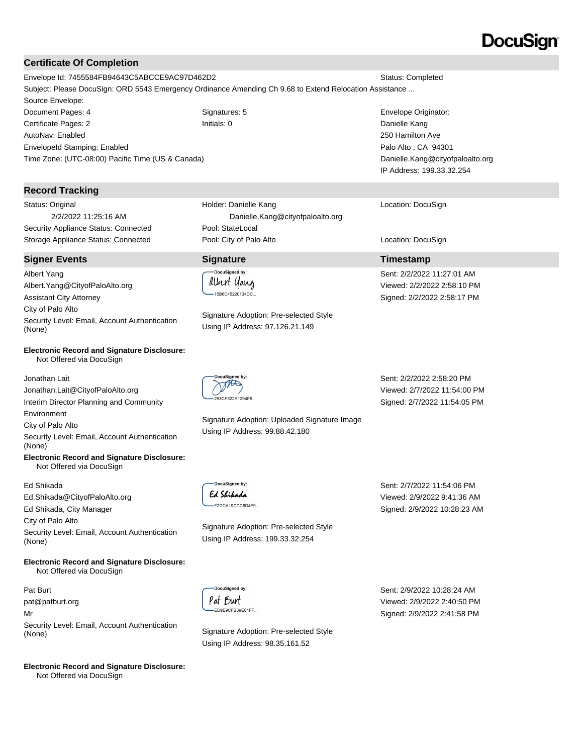### **Certificate Of Completion**

Envelope Id: 7455584FB94643C5ABCCE9AC97D462D2 Status: Completed Subject: Please DocuSign: ORD 5543 Emergency Ordinance Amending Ch 9.68 to Extend Relocation Assistance ... Source Envelope: Document Pages: 4 Signatures: 5 Envelope Originator: Certificate Pages: 2 Initials: 0 Danielle Kang

AutoNav: Enabled EnvelopeId Stamping: Enabled Time Zone: (UTC-08:00) Pacific Time (US & Canada)

### **Record Tracking**

Status: Original 2/2/2022 11:25:16 AM Security Appliance Status: Connected Pool: StateLocal

#### **Signer Events Signature Timestamp**

Albert Yang Albert.Yang@CityofPaloAlto.org Assistant City Attorney City of Palo Alto Security Level: Email, Account Authentication (None)

#### **Electronic Record and Signature Disclosure:**  Not Offered via DocuSign

Jonathan Lait Jonathan.Lait@CityofPaloAlto.org Interim Director Planning and Community Environment

City of Palo Alto

Security Level: Email, Account Authentication (None)

**Electronic Record and Signature Disclosure:**  Not Offered via DocuSign

#### Ed Shikada

Ed.Shikada@CityofPaloAlto.org

Ed Shikada, City Manager

City of Palo Alto

Security Level: Email, Account Authentication (None)

**Electronic Record and Signature Disclosure:**  Not Offered via DocuSign

Pat Burt pat@patburt.org Mr Security Level: Email, Account Authentication (None) Signature Adoption: Pre-selected Style

**Electronic Record and Signature Disclosure:**  Not Offered via DocuSign

Holder: Danielle Kang Danielle.Kang@cityofpaloalto.org Storage Appliance Status: Connected **Pool: City of Palo Alto** Location: DocuSign Location: DocuSign

# .<br>DocuSianed by: albert yang -<br>-15B6C45220134DC..

Signature Adoption: Pre-selected Style Using IP Address: 97.126.21.149



Signature Adoption: Uploaded Signature Image Using IP Address: 99.88.42.180

Sent: 2/2/2022 2:58:20 PM Viewed: 2/7/2022 11:54:00 PM Signed: 2/7/2022 11:54:05 PM

DocuSianed by: Ed Shikada -F2DCA19CCC8D4F9..

Signature Adoption: Pre-selected Style Using IP Address: 199.33.32.254

Sent: 2/7/2022 11:54:06 PM Viewed: 2/9/2022 9:41:36 AM Signed: 2/9/2022 10:28:23 AM

DocuSigned by: Pat Burt ED9E9CFB89E64FF..

Using IP Address: 98.35.161.52

Sent: 2/9/2022 10:28:24 AM Viewed: 2/9/2022 2:40:50 PM Signed: 2/9/2022 2:41:58 PM

250 Hamilton Ave Palo Alto , CA 94301 Danielle.Kang@cityofpaloalto.org IP Address: 199.33.32.254

Location: DocuSign

Sent: 2/2/2022 11:27:01 AM Viewed: 2/2/2022 2:58:10 PM Signed: 2/2/2022 2:58:17 PM

# DocuSian